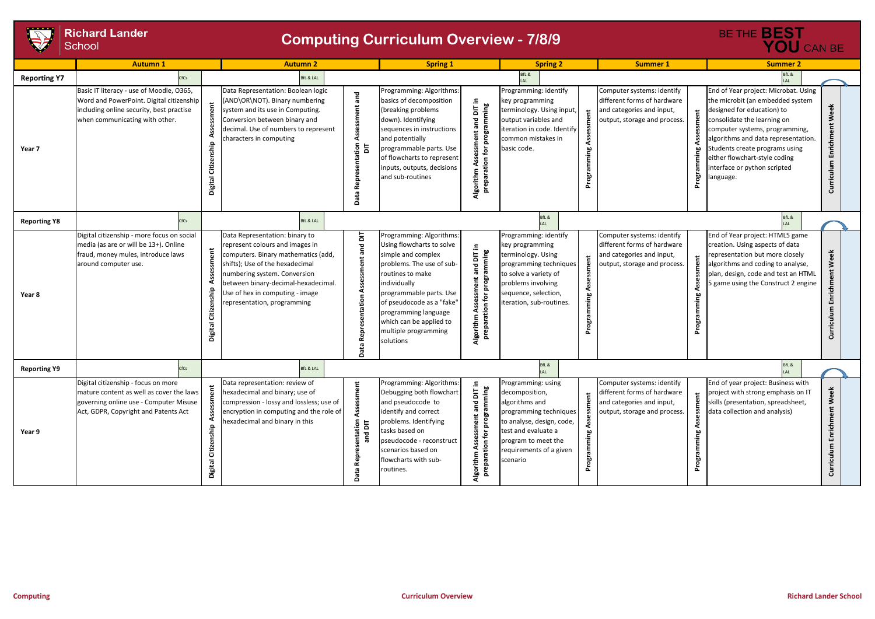

|                     | <b>Richard Lander</b><br>School                                                                                                                                    | <b>Computing Curriculum Overview - 7/8/9</b>                                                                                                                                                                                                                                                                  | BE THE <b>BEST</b><br>YOU CAN BE                                                                                                                                                                                                                                                                                                                            |                                                                                                                                                                                                                                                                                                                 |                                                                                                                                                                                       |                                                                                                                                                                                                                                                                                                                                                                |  |  |  |
|---------------------|--------------------------------------------------------------------------------------------------------------------------------------------------------------------|---------------------------------------------------------------------------------------------------------------------------------------------------------------------------------------------------------------------------------------------------------------------------------------------------------------|-------------------------------------------------------------------------------------------------------------------------------------------------------------------------------------------------------------------------------------------------------------------------------------------------------------------------------------------------------------|-----------------------------------------------------------------------------------------------------------------------------------------------------------------------------------------------------------------------------------------------------------------------------------------------------------------|---------------------------------------------------------------------------------------------------------------------------------------------------------------------------------------|----------------------------------------------------------------------------------------------------------------------------------------------------------------------------------------------------------------------------------------------------------------------------------------------------------------------------------------------------------------|--|--|--|
|                     | <b>Autumn1</b>                                                                                                                                                     | <b>Autumn 2</b>                                                                                                                                                                                                                                                                                               | <b>Spring 1</b>                                                                                                                                                                                                                                                                                                                                             | <b>Spring 2</b>                                                                                                                                                                                                                                                                                                 | <b>Summer 1</b>                                                                                                                                                                       | <b>Summer 2</b>                                                                                                                                                                                                                                                                                                                                                |  |  |  |
| <b>Reporting Y7</b> | fCs                                                                                                                                                                | <b>BfL &amp; LAL</b>                                                                                                                                                                                                                                                                                          |                                                                                                                                                                                                                                                                                                                                                             | 3fL &                                                                                                                                                                                                                                                                                                           |                                                                                                                                                                                       | BfL &                                                                                                                                                                                                                                                                                                                                                          |  |  |  |
| Year 7              | Basic IT literacy - use of Moodle, O365,<br>Word and PowerPoint. Digital citizenship<br>including online security, best practise<br>when communicating with other. | Data Representation: Boolean logic<br>(AND\OR\NOT). Binary numbering<br>system and its use in Computing.<br>Conversion between binary and<br>decimal. Use of numbers to represent<br>characters in computing<br>ship<br>Citiz<br>Digital                                                                      | Programming: Algorithms:<br>and<br>basics of decomposition<br>Assessment<br>(breaking problems<br>down). Identifying<br>sequences in instructions<br>and potentially<br>intation<br>등<br>programmable parts. Use<br>of flowcharts to represent<br>inputs, outputs, decisions<br>and sub-routines<br>Repr<br>പ്പ                                             | Programming: identify<br>DIT in<br>key programming<br>ning<br>terminology. Using input,<br>output variables and<br>짇<br>iteration in code. Identify<br>common mistakes in<br>basic code.<br>tion<br>Algorith<br>prep                                                                                            | Computer systems: identify<br>different forms of hardware<br>and categories and input,<br>nent<br>$\sharp$<br>output, storage and process.<br>Assess<br>guimmia <sup>.</sup><br>Progr | End of Year project: Microbat. Using<br>the microbit (an embedded system<br>Week<br>designed for education) to<br>consolidate the learning on<br>Curriculum Enrichment<br>computer systems, programming,<br>algorithms and data representation.<br>Students create programs using<br>either flowchart-style coding<br>interface or python scripted<br>anguage. |  |  |  |
| <b>Reporting Y8</b> | $r_{\text{fCs}}$                                                                                                                                                   | <b>BfL &amp; LAL</b>                                                                                                                                                                                                                                                                                          |                                                                                                                                                                                                                                                                                                                                                             | BfL &                                                                                                                                                                                                                                                                                                           |                                                                                                                                                                                       | BfL &                                                                                                                                                                                                                                                                                                                                                          |  |  |  |
| Year 8              | Digital citizenship - more focus on social<br>media (as are or will be 13+). Online<br>fraud, money mules, introduce laws<br>around computer use.                  | Data Representation: binary to<br>represent colours and images in<br>computers. Binary mathematics (add,<br>shifts); Use of the hexadecimal<br>numbering system. Conversion<br>between binary-decimal-hexadecimal.<br>Citizenship<br>Jse of hex in computing - image<br>epresentation, programming<br>Digital | Programming: Algorithms:<br>Assessment and DIT<br>Using flowcharts to solve<br>simple and complex<br>problems. The use of sub-<br>routines to make<br>individually<br>programmable parts. Use<br>sentation<br>of pseudocode as a "fake"<br>programming language<br>which can be applied to<br><b>Repre</b><br>multiple programming<br>solutions<br>្តា<br>å | Programming: identify<br>key programming<br>$\equiv$<br>ning<br>$\overline{5}$<br>terminology. Using<br>programming techniques<br>$\overline{\mathbf{c}}$<br>to solve a variety of<br>π<br>problems involving<br>sequence, selection,<br>teration, sub-routines.<br>prepara<br>Algorithm                        | Computer systems: identify<br>different forms of hardware<br>and categories and input,<br>Assessment<br>output, storage and process.<br>rogramming<br>Progn                           | End of Year project: HTML5 game<br>creation. Using aspects of data<br>Week<br>representation but more closely<br>algorithms and coding to analyse,<br>Enrichment<br>plan, design, code and test an HTML<br>5 game using the Construct 2 engine<br>Curriculum                                                                                                   |  |  |  |
| <b>Reporting Y9</b> | CfCs                                                                                                                                                               | <b>BfL &amp; LAL</b>                                                                                                                                                                                                                                                                                          |                                                                                                                                                                                                                                                                                                                                                             | BfL &                                                                                                                                                                                                                                                                                                           |                                                                                                                                                                                       | BfL &<br>LAL                                                                                                                                                                                                                                                                                                                                                   |  |  |  |
| Year 9              | Digital citizenship - focus on more<br>mature content as well as cover the laws<br>governing online use - Computer Misuse<br>Act, GDPR, Copyright and Patents Act  | Data representation: review of<br>hexadecimal and binary; use of<br>compression - lossy and lossless; use of<br>encryption in computing and the role of<br>exadecimal and binary in this<br>Citizenship<br>Digital                                                                                            | Programming: Algorithms:<br>Assessment<br>Debugging both flowchart<br>and pseudocode to<br>identify and correct<br>problems. Identifying<br>resentation<br>$\overline{5}$<br>tasks based on<br>$\mathbf{z}$<br>pseudocode - reconstruct<br>scenarios based on<br>Rep<br>flowcharts with sub-<br>routines.<br>Data                                           | Programming: using<br>-.<br>$\overline{\mathsf{b}}$<br>decomposition,<br>algorithms and<br>$\bf \bar v$<br><u>ត</u><br>programming techniques<br>ënt<br>pro<br>to analyse, design, code,<br>test and evaluate a<br>ق<br>program to meet the<br>⋖<br>requirements of a given<br>Algorithm<br>prepara<br>scenario | Computer systems: identify<br>different forms of hardware<br>ment<br>and categories and input,<br>output, storage and process.<br>Asse<br>ধ<br>Programming<br>amming<br>ogr<br>՟      | End of year project: Business with<br>Curriculum Enrichment Week<br>project with strong emphasis on IT<br>skills (presentation, spreadsheet,<br>data collection and analysis)                                                                                                                                                                                  |  |  |  |